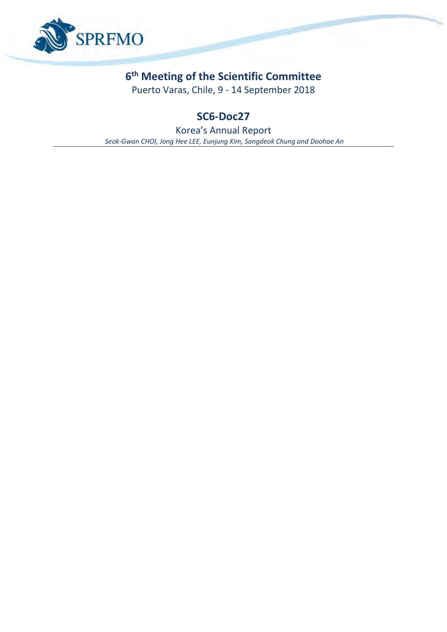

# **6 th Meeting of the Scientific Committee**

Puerto Varas, Chile, 9 - 14 September 2018

# **SC6-Doc27**

Korea's Annual Report *Seok-Gwan CHOI, Jong Hee LEE, Eunjung Kim, Sangdeok Chung and Doohae An*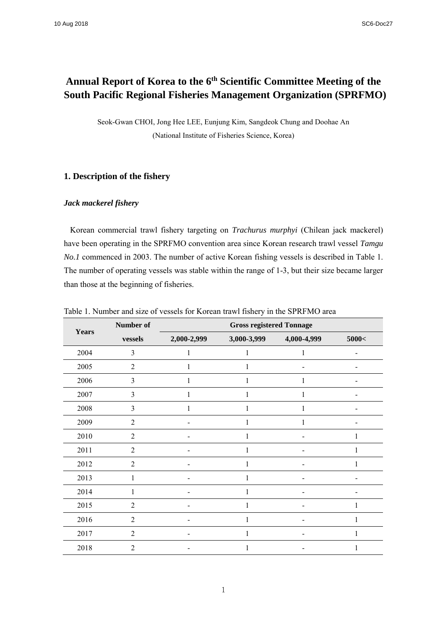# Annual Report of Korea to the 6<sup>th</sup> Scientific Committee Meeting of the **South Pacific Regional Fisheries Management Organization (SPRFMO)**

Seok-Gwan CHOI, Jong Hee LEE, Eunjung Kim, Sangdeok Chung and Doohae An (National Institute of Fisheries Science, Korea)

# **1. Description of the fishery**

## *Jack mackerel fishery*

Korean commercial trawl fishery targeting on *Trachurus murphyi* (Chilean jack mackerel) have been operating in the SPRFMO convention area since Korean research trawl vessel *Tamgu No.1* commenced in 2003. The number of active Korean fishing vessels is described in Table 1. The number of operating vessels was stable within the range of 1-3, but their size became larger than those at the beginning of fisheries.

| <b>Years</b> | Number of      | <b>Gross registered Tonnage</b> |             |             |       |  |
|--------------|----------------|---------------------------------|-------------|-------------|-------|--|
|              | vessels        | 2,000-2,999                     | 3,000-3,999 | 4,000-4,999 | 5000< |  |
| 2004         | 3              | 1                               | 1           | 1           |       |  |
| 2005         | $\overline{2}$ | 1                               |             |             |       |  |
| 2006         | $\mathfrak{Z}$ | 1                               | 1           | 1           |       |  |
| 2007         | 3              | 1                               |             | 1           |       |  |
| 2008         | $\mathfrak{Z}$ | 1                               | 1           | 1           |       |  |
| 2009         | $\overline{2}$ |                                 |             | 1           |       |  |
| 2010         | $\overline{2}$ |                                 |             |             |       |  |
| 2011         | $\overline{2}$ |                                 | 1           |             | 1     |  |
| 2012         | $\overline{2}$ |                                 | 1           |             | 1     |  |
| 2013         | 1              |                                 | 1           |             |       |  |
| 2014         | 1              |                                 | 1           |             |       |  |
| 2015         | $\overline{2}$ |                                 |             |             |       |  |
| 2016         | $\overline{2}$ |                                 |             |             | 1     |  |
| 2017         | $\overline{2}$ |                                 | 1           |             | 1     |  |
| 2018         | $\overline{2}$ |                                 |             |             | 1     |  |

Table 1. Number and size of vessels for Korean trawl fishery in the SPRFMO area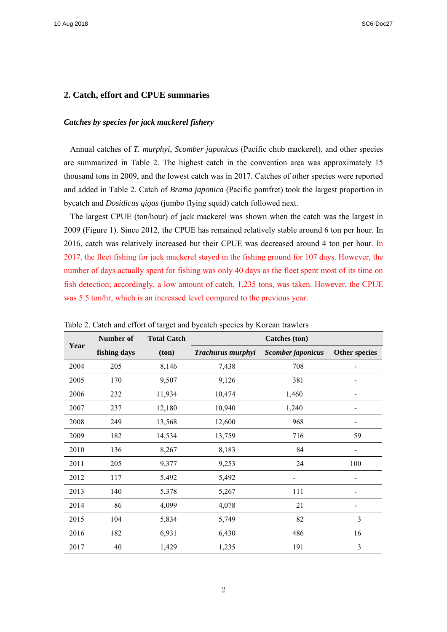10 Aug 2018 SC6-Doc27

## **2. Catch, effort and CPUE summaries**

## *Catches by species for jack mackerel fishery*

Annual catches of *T. murphyi*, *Scomber japonicus* (Pacific chub mackerel), and other species are summarized in Table 2. The highest catch in the convention area was approximately 15 thousand tons in 2009, and the lowest catch was in 2017. Catches of other species were reported and added in Table 2. Catch of *Brama japonica* (Pacific pomfret) took the largest proportion in bycatch and *Dosidicus gigas* (jumbo flying squid) catch followed next.

The largest CPUE (ton/hour) of jack mackerel was shown when the catch was the largest in 2009 (Figure 1). Since 2012, the CPUE has remained relatively stable around 6 ton per hour. In 2016, catch was relatively increased but their CPUE was decreased around 4 ton per hour. In 2017, the fleet fishing for jack mackerel stayed in the fishing ground for 107 days. However, the number of days actually spent for fishing was only 40 days as the fleet spent most of its time on fish detection; accordingly, a low amount of catch, 1,235 tons, was taken. However, the CPUE was 5.5 ton/hr, which is an increased level compared to the previous year.

| raone 2. Canon and errori or target and o jeaten species of recrean damiers |              |                    |                      |                   |                          |  |
|-----------------------------------------------------------------------------|--------------|--------------------|----------------------|-------------------|--------------------------|--|
|                                                                             | Number of    | <b>Total Catch</b> | <b>Catches</b> (ton) |                   |                          |  |
| Year                                                                        | fishing days | (ton)              | Trachurus murphyi    | Scomber japonicus | <b>Other species</b>     |  |
| 2004                                                                        | 205          | 8,146              | 7,438                | 708               |                          |  |
| 2005                                                                        | 170          | 9,507              | 9,126                | 381               |                          |  |
| 2006                                                                        | 232          | 11,934             | 10,474               | 1,460             | $\overline{\phantom{a}}$ |  |
| 2007                                                                        | 237          | 12,180             | 10,940               | 1,240             |                          |  |
| 2008                                                                        | 249          | 13,568             | 12,600               | 968               |                          |  |
| 2009                                                                        | 182          | 14,534             | 13,759               | 716               | 59                       |  |
| 2010                                                                        | 136          | 8,267              | 8,183                | 84                |                          |  |
| 2011                                                                        | 205          | 9,377              | 9,253                | 24                | 100                      |  |
| 2012                                                                        | 117          | 5,492              | 5,492                |                   |                          |  |
| 2013                                                                        | 140          | 5,378              | 5,267                | 111               |                          |  |
| 2014                                                                        | 86           | 4,099              | 4,078                | 21                |                          |  |
| 2015                                                                        | 104          | 5,834              | 5,749                | 82                | 3                        |  |
| 2016                                                                        | 182          | 6,931              | 6,430                | 486               | 16                       |  |
| 2017                                                                        | 40           | 1,429              | 1,235                | 191               | 3                        |  |

Table 2. Catch and effort of target and bycatch species by Korean trawlers

2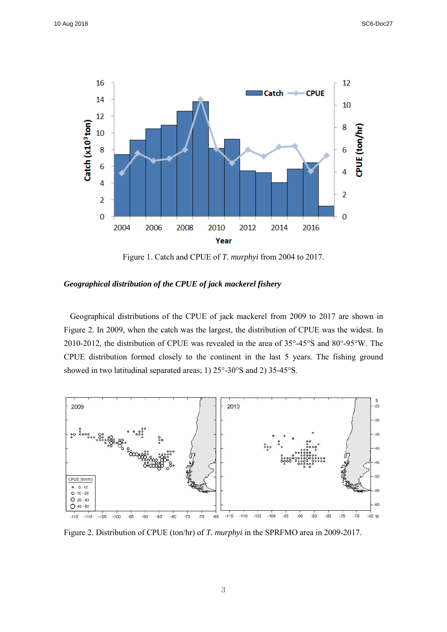

Figure 1. Catch and CPUE of *T. murphyi* from 2004 to 2017.

*Geographical distribution of the CPUE of jack mackerel fishery*

Geographical distributions of the CPUE of jack mackerel from 2009 to 2017 are shown in Figure 2. In 2009, when the catch was the largest, the distribution of CPUE was the widest. In 2010-2012, the distribution of CPUE was revealed in the area of 35°-45°S and 80°-95°W. The CPUE distribution formed closely to the continent in the last 5 years. The fishing ground showed in two latitudinal separated areas; 1) 25°-30°S and 2) 35-45°S.



Figure 2. Distribution of CPUE (ton/hr) of *T. murphyi* in the SPRFMO area in 2009-2017.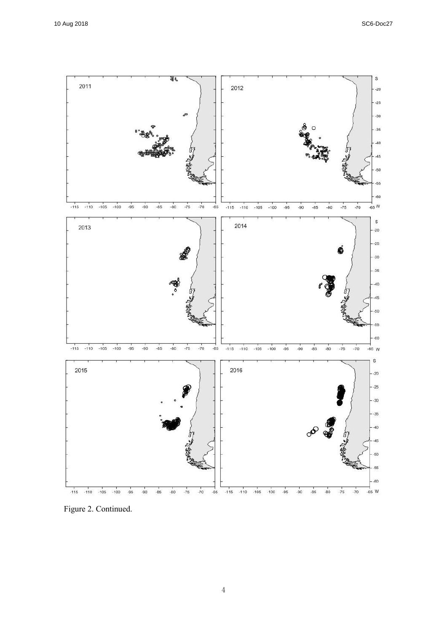

Figure 2. Continued.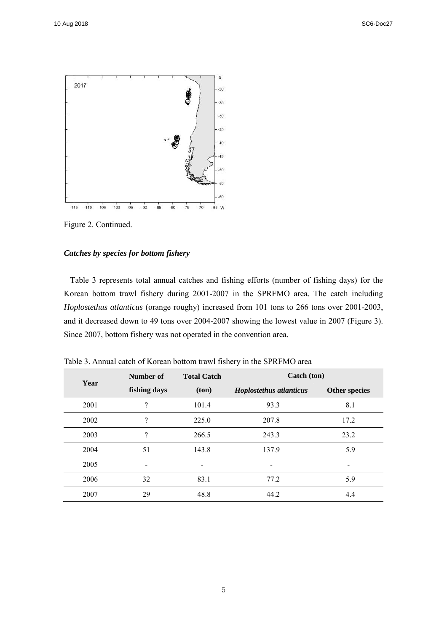

Figure 2. Continued.

# *Catches by species for bottom fishery*

Table 3 represents total annual catches and fishing efforts (number of fishing days) for the Korean bottom trawl fishery during 2001-2007 in the SPRFMO area. The catch including *Hoplostethus atlanticus* (orange roughy) increased from 101 tons to 266 tons over 2001-2003, and it decreased down to 49 tons over 2004-2007 showing the lowest value in 2007 (Figure 3). Since 2007, bottom fishery was not operated in the convention area.

| Year | Number of                    | <b>Total Catch</b>       | Catch (ton)             |                          |
|------|------------------------------|--------------------------|-------------------------|--------------------------|
|      | fishing days                 | (ton)                    | Hoplostethus atlanticus | <b>Other species</b>     |
| 2001 | $\overline{\cdot}$           | 101.4                    | 93.3                    | 8.1                      |
| 2002 | ?                            | 225.0                    | 207.8                   | 17.2                     |
| 2003 | $\overline{\mathcal{L}}$     | 266.5                    | 243.3                   | 23.2                     |
| 2004 | 51                           | 143.8                    | 137.9                   | 5.9                      |
| 2005 | $\qquad \qquad \blacksquare$ | $\overline{\phantom{a}}$ |                         | $\overline{\phantom{a}}$ |
| 2006 | 32                           | 83.1                     | 77.2                    | 5.9                      |
| 2007 | 29                           | 48.8                     | 44.2                    | 4.4                      |

Table 3. Annual catch of Korean bottom trawl fishery in the SPRFMO area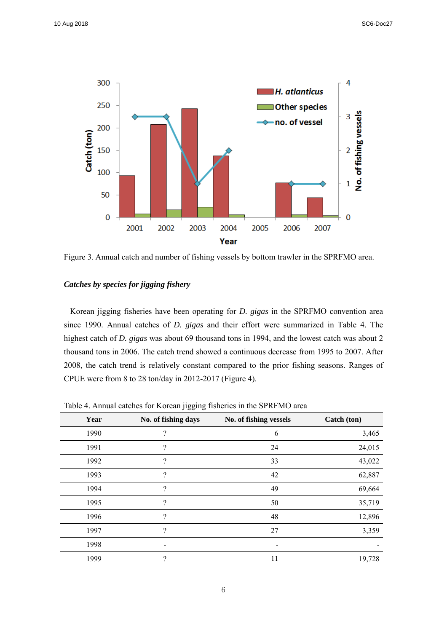

Figure 3. Annual catch and number of fishing vessels by bottom trawler in the SPRFMO area.

# *Catches by species for jigging fishery*

Korean jigging fisheries have been operating for *D. gigas* in the SPRFMO convention area since 1990. Annual catches of *D. gigas* and their effort were summarized in Table 4. The highest catch of *D. gigas* was about 69 thousand tons in 1994, and the lowest catch was about 2 thousand tons in 2006. The catch trend showed a continuous decrease from 1995 to 2007. After 2008, the catch trend is relatively constant compared to the prior fishing seasons. Ranges of CPUE were from 8 to 28 ton/day in 2012-2017 (Figure 4).

Table 4. Annual catches for Korean jigging fisheries in the SPRFMO area

| Year | No. of fishing days      | No. of fishing vessels | Catch (ton) |
|------|--------------------------|------------------------|-------------|
| 1990 | $\ddot{?}$               | 6                      | 3,465       |
| 1991 | ?                        | 24                     | 24,015      |
| 1992 | ?                        | 33                     | 43,022      |
| 1993 | ?                        | 42                     | 62,887      |
| 1994 | $\overline{\phantom{a}}$ | 49                     | 69,664      |
| 1995 | $\overline{\cdot}$       | 50                     | 35,719      |
| 1996 | $\overline{\mathcal{L}}$ | 48                     | 12,896      |
| 1997 | ?                        | 27                     | 3,359       |
| 1998 |                          |                        |             |
| 1999 | $\overline{\mathcal{L}}$ | 11                     | 19,728      |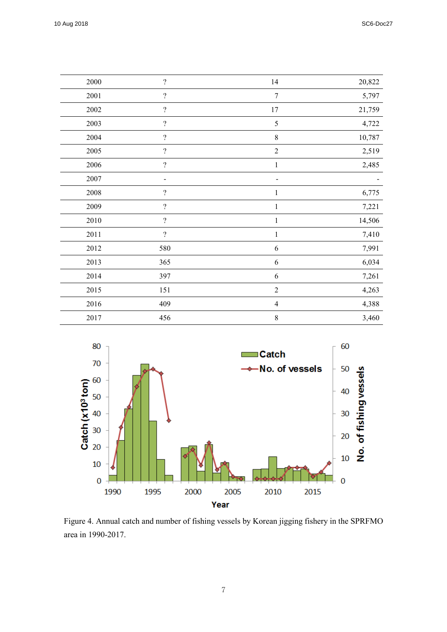| 2000 | $\overline{?}$               | 14             | 20,822 |
|------|------------------------------|----------------|--------|
| 2001 | $\overline{?}$               | 7              | 5,797  |
| 2002 | $\overline{\mathcal{L}}$     | 17             | 21,759 |
| 2003 | $\overline{\mathcal{L}}$     | $\mathfrak s$  | 4,722  |
| 2004 | $\overline{?}$               | $\,$ $\,$      | 10,787 |
| 2005 | $\boldsymbol{?}$             | $\sqrt{2}$     | 2,519  |
| 2006 | $\overline{?}$               | $\mathbf{1}$   | 2,485  |
| 2007 | $\qquad \qquad \blacksquare$ | -              |        |
| 2008 | $\overline{\mathcal{L}}$     | 1              | 6,775  |
| 2009 | $\boldsymbol{?}$             | 1              | 7,221  |
| 2010 | $\overline{\mathcal{L}}$     | 1              | 14,506 |
| 2011 | $\overline{?}$               | $\mathbf{1}$   | 7,410  |
| 2012 | 580                          | 6              | 7,991  |
| 2013 | 365                          | 6              | 6,034  |
| 2014 | 397                          | 6              | 7,261  |
| 2015 | 151                          | $\overline{2}$ | 4,263  |
| 2016 | 409                          | $\overline{4}$ | 4,388  |
| 2017 | 456                          | $\,$ $\,$      | 3,460  |



Figure 4. Annual catch and number of fishing vessels by Korean jigging fishery in the SPRFMO area in 1990-2017.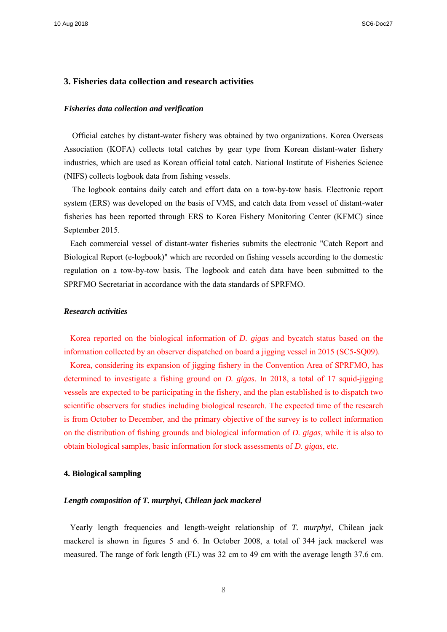10 Aug 2018 SC6-Doc27

## **3. Fisheries data collection and research activities**

#### *Fisheries data collection and verification*

Official catches by distant-water fishery was obtained by two organizations. Korea Overseas Association (KOFA) collects total catches by gear type from Korean distant-water fishery industries, which are used as Korean official total catch. National Institute of Fisheries Science (NIFS) collects logbook data from fishing vessels.

The logbook contains daily catch and effort data on a tow-by-tow basis. Electronic report system (ERS) was developed on the basis of VMS, and catch data from vessel of distant-water fisheries has been reported through ERS to Korea Fishery Monitoring Center (KFMC) since September 2015.

Each commercial vessel of distant-water fisheries submits the electronic "Catch Report and Biological Report (e-logbook)" which are recorded on fishing vessels according to the domestic regulation on a tow-by-tow basis. The logbook and catch data have been submitted to the SPRFMO Secretariat in accordance with the data standards of SPRFMO.

## *Research activities*

Korea reported on the biological information of *D. gigas* and bycatch status based on the information collected by an observer dispatched on board a jigging vessel in 2015 (SC5-SQ09).

Korea, considering its expansion of jigging fishery in the Convention Area of SPRFMO, has determined to investigate a fishing ground on *D. gigas*. In 2018, a total of 17 squid-jigging vessels are expected to be participating in the fishery, and the plan established is to dispatch two scientific observers for studies including biological research. The expected time of the research is from October to December, and the primary objective of the survey is to collect information on the distribution of fishing grounds and biological information of *D. gigas*, while it is also to obtain biological samples, basic information for stock assessments of *D. gigas*, etc.

### **4. Biological sampling**

### *Length composition of T. murphyi, Chilean jack mackerel*

Yearly length frequencies and length-weight relationship of *T. murphyi*, Chilean jack mackerel is shown in figures 5 and 6. In October 2008, a total of 344 jack mackerel was measured. The range of fork length (FL) was 32 cm to 49 cm with the average length 37.6 cm.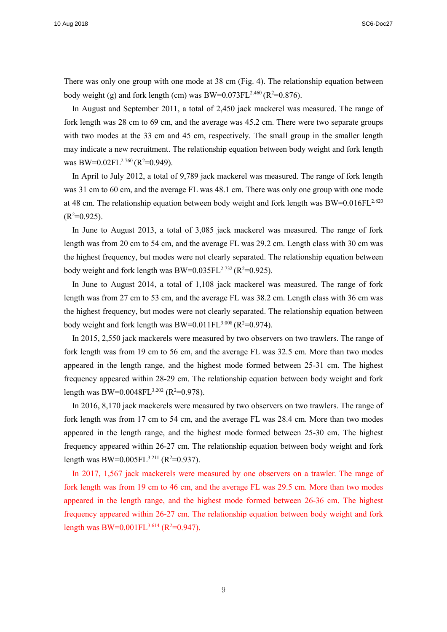There was only one group with one mode at 38 cm (Fig. 4). The relationship equation between body weight (g) and fork length (cm) was  $BW=0.073FL^{2.460} (R^2=0.876)$ .

In August and September 2011, a total of 2,450 jack mackerel was measured. The range of fork length was 28 cm to 69 cm, and the average was 45.2 cm. There were two separate groups with two modes at the 33 cm and 45 cm, respectively. The small group in the smaller length may indicate a new recruitment. The relationship equation between body weight and fork length was BW=0.02FL<sup>2.760</sup> (R<sup>2</sup>=0.949).

In April to July 2012, a total of 9,789 jack mackerel was measured. The range of fork length was 31 cm to 60 cm, and the average FL was 48.1 cm. There was only one group with one mode at 48 cm. The relationship equation between body weight and fork length was  $BW=0.016FL^{2.820}$  $(R<sup>2</sup>=0.925).$ 

In June to August 2013, a total of 3,085 jack mackerel was measured. The range of fork length was from 20 cm to 54 cm, and the average FL was 29.2 cm. Length class with 30 cm was the highest frequency, but modes were not clearly separated. The relationship equation between body weight and fork length was BW= $0.035 \text{FL}^{2.732} (\text{R}^2=0.925)$ .

In June to August 2014, a total of 1,108 jack mackerel was measured. The range of fork length was from 27 cm to 53 cm, and the average FL was 38.2 cm. Length class with 36 cm was the highest frequency, but modes were not clearly separated. The relationship equation between body weight and fork length was  $BW=0.011FL^{3.008} (R^2=0.974)$ .

In 2015, 2,550 jack mackerels were measured by two observers on two trawlers. The range of fork length was from 19 cm to 56 cm, and the average FL was 32.5 cm. More than two modes appeared in the length range, and the highest mode formed between 25-31 cm. The highest frequency appeared within 28-29 cm. The relationship equation between body weight and fork length was BW=0.0048FL<sup>3.202</sup> (R<sup>2</sup>=0.978).

In 2016, 8,170 jack mackerels were measured by two observers on two trawlers. The range of fork length was from 17 cm to 54 cm, and the average FL was 28.4 cm. More than two modes appeared in the length range, and the highest mode formed between 25-30 cm. The highest frequency appeared within 26-27 cm. The relationship equation between body weight and fork length was BW=0.005FL<sup>3.211</sup> (R<sup>2</sup>=0.937).

In 2017, 1,567 jack mackerels were measured by one observers on a trawler. The range of fork length was from 19 cm to 46 cm, and the average FL was 29.5 cm. More than two modes appeared in the length range, and the highest mode formed between 26-36 cm. The highest frequency appeared within 26-27 cm. The relationship equation between body weight and fork length was BW=0.001FL<sup>3.614</sup> (R<sup>2</sup>=0.947).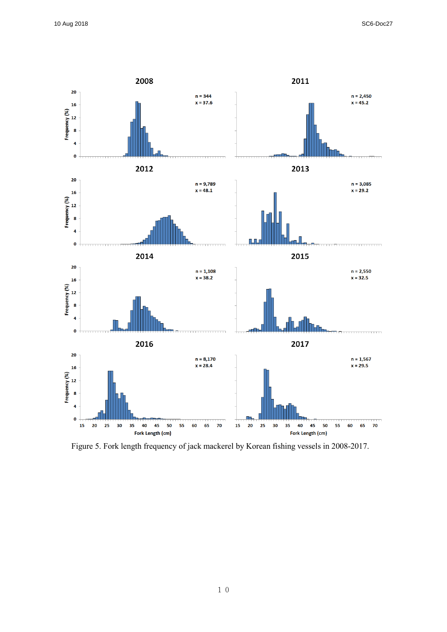

Figure 5. Fork length frequency of jack mackerel by Korean fishing vessels in 2008-2017.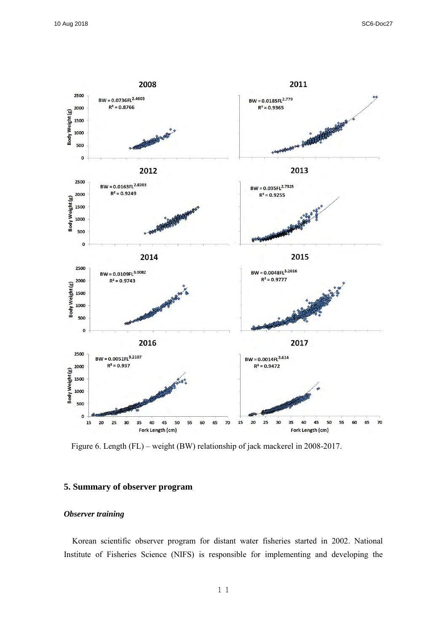

Figure 6. Length (FL) – weight (BW) relationship of jack mackerel in 2008-2017.

## **5. Summary of observer program**

## *Observer training*

Korean scientific observer program for distant water fisheries started in 2002. National Institute of Fisheries Science (NIFS) is responsible for implementing and developing the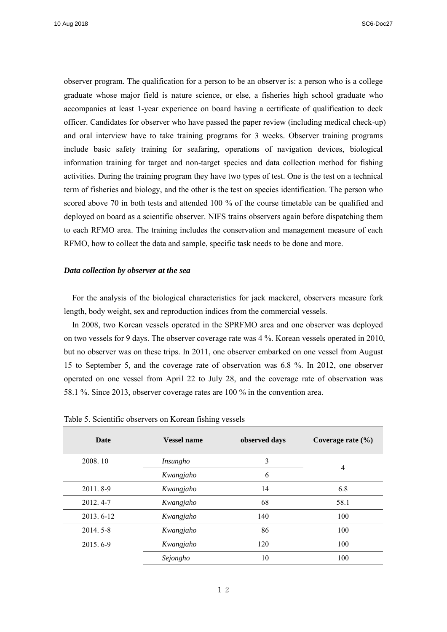observer program. The qualification for a person to be an observer is: a person who is a college graduate whose major field is nature science, or else, a fisheries high school graduate who accompanies at least 1-year experience on board having a certificate of qualification to deck officer. Candidates for observer who have passed the paper review (including medical check-up) and oral interview have to take training programs for 3 weeks. Observer training programs include basic safety training for seafaring, operations of navigation devices, biological information training for target and non-target species and data collection method for fishing activities. During the training program they have two types of test. One is the test on a technical term of fisheries and biology, and the other is the test on species identification. The person who scored above 70 in both tests and attended 100 % of the course timetable can be qualified and deployed on board as a scientific observer. NIFS trains observers again before dispatching them to each RFMO area. The training includes the conservation and management measure of each RFMO, how to collect the data and sample, specific task needs to be done and more.

#### *Data collection by observer at the sea*

For the analysis of the biological characteristics for jack mackerel, observers measure fork length, body weight, sex and reproduction indices from the commercial vessels.

In 2008, two Korean vessels operated in the SPRFMO area and one observer was deployed on two vessels for 9 days. The observer coverage rate was 4 %. Korean vessels operated in 2010, but no observer was on these trips. In 2011, one observer embarked on one vessel from August 15 to September 5, and the coverage rate of observation was 6.8 %. In 2012, one observer operated on one vessel from April 22 to July 28, and the coverage rate of observation was 58.1 %. Since 2013, observer coverage rates are 100 % in the convention area.

| Date      | <b>Vessel name</b> | observed days | Coverage rate $(\% )$ |
|-----------|--------------------|---------------|-----------------------|
| 2008.10   | Insungho           | 3             | $\overline{4}$        |
|           | Kwangjaho          | 6             |                       |
| 2011.8-9  | Kwangjaho          | 14            | 6.8                   |
| 2012.4-7  | Kwangjaho          | 68            | 58.1                  |
| 2013.6-12 | Kwangjaho          | 140           | 100                   |
| 2014.5-8  | Kwangjaho          | 86            | 100                   |
| 2015.6-9  | Kwangjaho          | 120           | 100                   |
|           | Sejongho           | 10            | 100                   |

Table 5. Scientific observers on Korean fishing vessels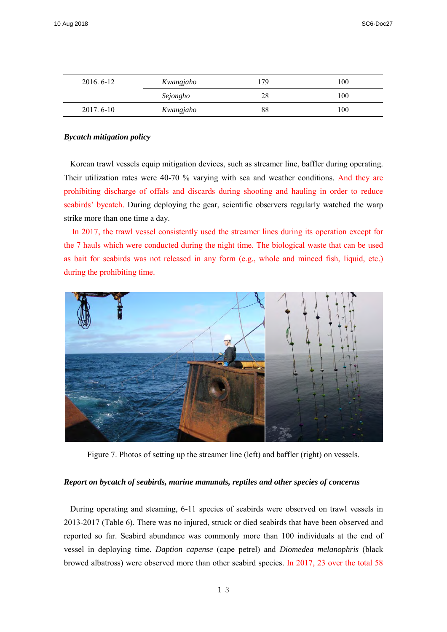| 2016.6-12 | Kwangjaho | 179 | 100 |
|-----------|-----------|-----|-----|
|           | Sejongho  | 28  | 100 |
| 2017.6-10 | Kwangjaho | 88  | 100 |

### *Bycatch mitigation policy*

Korean trawl vessels equip mitigation devices, such as streamer line, baffler during operating. Their utilization rates were 40-70 % varying with sea and weather conditions. And they are prohibiting discharge of offals and discards during shooting and hauling in order to reduce seabirds' bycatch. During deploying the gear, scientific observers regularly watched the warp strike more than one time a day.

In 2017, the trawl vessel consistently used the streamer lines during its operation except for the 7 hauls which were conducted during the night time. The biological waste that can be used as bait for seabirds was not released in any form (e.g., whole and minced fish, liquid, etc.) during the prohibiting time.



Figure 7. Photos of setting up the streamer line (left) and baffler (right) on vessels.

## *Report on bycatch of seabirds, marine mammals, reptiles and other species of concerns*

During operating and steaming, 6-11 species of seabirds were observed on trawl vessels in 2013-2017 (Table 6). There was no injured, struck or died seabirds that have been observed and reported so far. Seabird abundance was commonly more than 100 individuals at the end of vessel in deploying time. *Daption capense* (cape petrel) and *Diomedea melanophris* (black browed albatross) were observed more than other seabird species. In 2017, 23 over the total 58